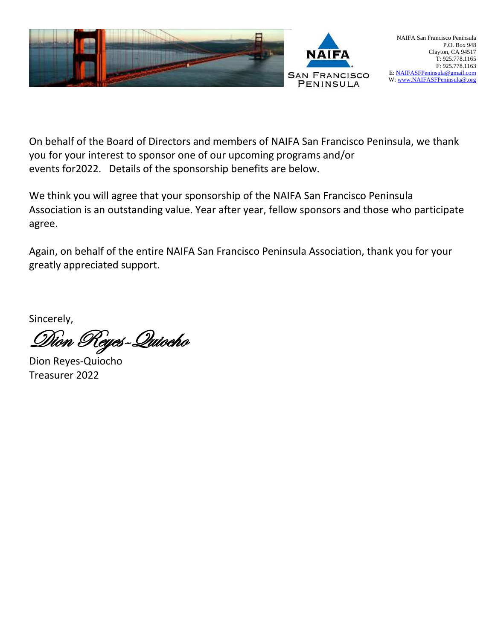

On behalf of the Board of Directors and members of NAIFA San Francisco Peninsula, we thank you for your interest to sponsor one of our upcoming programs and/or events for2022. Details of the sponsorship benefits are below.

We think you will agree that your sponsorship of the NAIFA San Francisco Peninsula Association is an outstanding value. Year after year, fellow sponsors and those who participate agree.

Again, on behalf of the entire NAIFA San Francisco Peninsula Association, thank you for your greatly appreciated support.

Sincerely,

Dion Reyes-Quiocho

Dion Reyes-Quiocho Treasurer 2022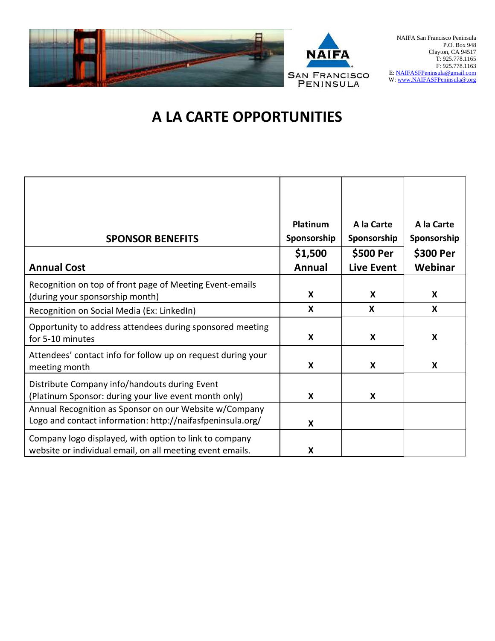

# **A LA CARTE OPPORTUNITIES**

| <b>SPONSOR BENEFITS</b><br><b>Annual Cost</b>                                                                        | Platinum<br>Sponsorship<br>\$1,500<br><b>Annual</b> | A la Carte<br>Sponsorship<br>\$500 Per<br><b>Live Event</b> | A la Carte<br>Sponsorship<br>\$300 Per<br>Webinar |
|----------------------------------------------------------------------------------------------------------------------|-----------------------------------------------------|-------------------------------------------------------------|---------------------------------------------------|
| Recognition on top of front page of Meeting Event-emails<br>(during your sponsorship month)                          | $\boldsymbol{\mathsf{X}}$                           | X                                                           | $\boldsymbol{X}$                                  |
| Recognition on Social Media (Ex: LinkedIn)                                                                           | X                                                   | $\boldsymbol{\mathsf{X}}$                                   | X                                                 |
| Opportunity to address attendees during sponsored meeting<br>for 5-10 minutes                                        | X                                                   | $\boldsymbol{\mathsf{X}}$                                   | X                                                 |
| Attendees' contact info for follow up on request during your<br>meeting month                                        | X                                                   | X                                                           | $\boldsymbol{X}$                                  |
| Distribute Company info/handouts during Event<br>(Platinum Sponsor: during your live event month only)               | X                                                   | X                                                           |                                                   |
| Annual Recognition as Sponsor on our Website w/Company<br>Logo and contact information: http://naifasfpeninsula.org/ | X                                                   |                                                             |                                                   |
| Company logo displayed, with option to link to company<br>website or individual email, on all meeting event emails.  | X                                                   |                                                             |                                                   |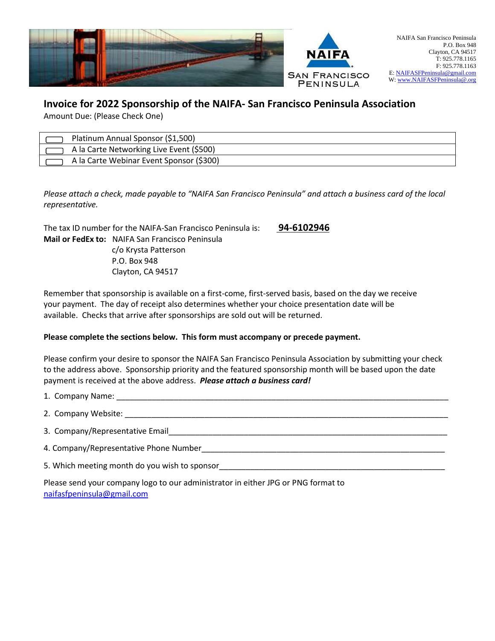

## **Invoice for 2022 Sponsorship of the NAIFA- San Francisco Peninsula Association**

Amount Due: (Please Check One)

| Platinum Annual Sponsor (\$1,500)        |
|------------------------------------------|
| A la Carte Networking Live Event (\$500) |
| A la Carte Webinar Event Sponsor (\$300) |

*Please attach a check, made payable to "NAIFA San Francisco Peninsula" and attach a business card of the local representative.*

The tax ID number for the NAIFA-San Francisco Peninsula is: **94-6102946 Mail or FedEx to:** NAIFA San Francisco Peninsula c/o Krysta Patterson P.O. Box 948 Clayton, CA 94517

Remember that sponsorship is available on a first-come, first-served basis, based on the day we receive your payment. The day of receipt also determines whether your choice presentation date will be available. Checks that arrive after sponsorships are sold out will be returned.

#### **Please complete the sections below. This form must accompany or precede payment.**

Please confirm your desire to sponsor the NAIFA San Francisco Peninsula Association by submitting your check to the address above. Sponsorship priority and the featured sponsorship month will be based upon the date payment is received at the above address. *Please attach a business card!*

1. Company Name:  $\Box$ 2. Company Website: \_\_\_\_\_\_\_\_\_\_\_\_\_\_\_\_\_\_\_\_\_\_\_\_\_\_\_\_\_\_\_\_\_\_\_\_\_\_\_\_\_\_\_\_\_\_\_\_\_\_\_\_\_\_\_\_\_\_\_\_\_\_\_\_\_\_\_\_\_\_\_\_\_ 3. Company/Representative Email\_\_\_\_\_\_\_\_\_\_\_\_\_\_\_\_\_\_\_\_\_\_\_\_\_\_\_\_\_\_\_\_\_\_\_\_\_\_\_\_\_\_\_\_\_\_\_\_\_\_\_\_\_\_\_\_\_\_\_\_\_\_\_ 4. Company/Representative Phone Number\_\_\_\_\_\_\_\_\_\_\_\_\_\_\_\_\_\_\_\_\_\_\_\_\_\_\_\_\_\_\_\_\_\_\_\_\_\_\_\_\_\_\_\_\_\_\_\_\_\_\_\_\_\_\_ 5. Which meeting month do you wish to sponsor\_\_\_\_\_\_\_\_\_\_\_\_\_\_\_\_\_\_\_\_\_\_\_\_\_\_\_\_\_\_\_\_\_\_\_\_\_\_\_\_\_\_\_\_\_\_\_\_\_\_\_

Please send your company logo to our administrator in either JPG or PNG format to <naifasfpeninsula@gmail.com>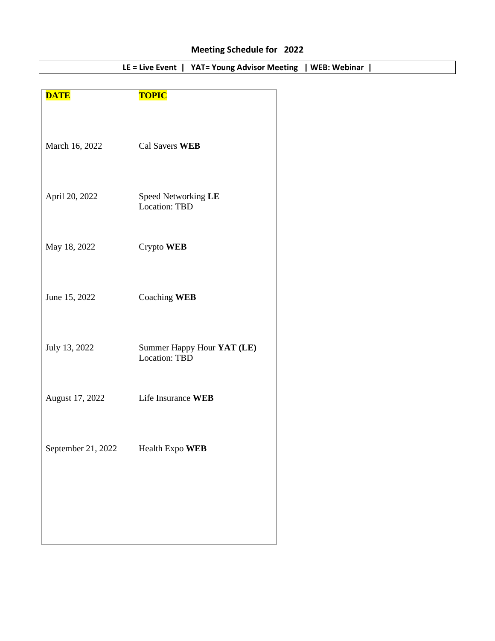# **Meeting Schedule for 2022**

| <b>DATE</b>        | <b>TOPIC</b>                                |
|--------------------|---------------------------------------------|
| March 16, 2022     | Cal Savers WEB                              |
| April 20, 2022     | Speed Networking LE<br><b>Location: TBD</b> |
| May 18, 2022       | Crypto WEB                                  |
| June 15, 2022      | Coaching WEB                                |
| July 13, 2022      | Summer Happy Hour YAT (LE)<br>Location: TBD |
| August 17, 2022    | Life Insurance WEB                          |
| September 21, 2022 | Health Expo WEB                             |
|                    |                                             |
|                    |                                             |

**LE = Live Event | YAT= Young Advisor Meeting | WEB: Webinar |**